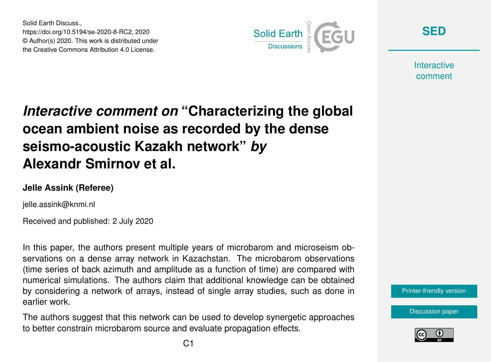Solid Earth Discuss., https://doi.org/10.5194/se-2020-8-RC2, 2020 © Author(s) 2020. This work is distributed under the Creative Commons Attribution 4.0 License.



**[SED](https://se.copernicus.org/preprints/)**

**Interactive** comment

## *Interactive comment on* **"Characterizing the global ocean ambient noise as recorded by the dense seismo-acoustic Kazakh network"** *by* **Alexandr Smirnov et al.**

## **Jelle Assink (Referee)**

jelle.assink@knmi.nl

Received and published: 2 July 2020

In this paper, the authors present multiple years of microbarom and microseism observations on a dense array network in Kazachstan. The microbarom observations (time series of back azimuth and amplitude as a function of time) are compared with numerical simulations. The authors claim that additional knowledge can be obtained by considering a network of arrays, instead of single array studies, such as done in earlier work.

The authors suggest that this network can be used to develop synergetic approaches to better constrain microbarom source and evaluate propagation effects.



[Discussion paper](https://se.copernicus.org/preprints/se-2020-8)

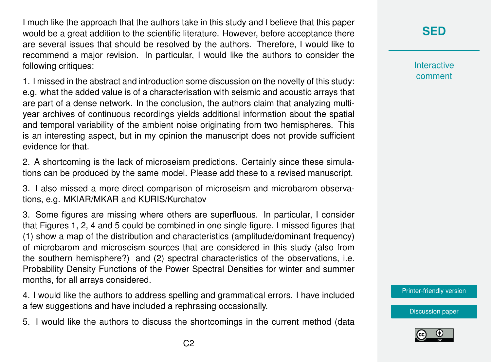I much like the approach that the authors take in this study and I believe that this paper would be a great addition to the scientific literature. However, before acceptance there are several issues that should be resolved by the authors. Therefore, I would like to recommend a major revision. In particular, I would like the authors to consider the following critiques:

1. I missed in the abstract and introduction some discussion on the novelty of this study: e.g. what the added value is of a characterisation with seismic and acoustic arrays that are part of a dense network. In the conclusion, the authors claim that analyzing multiyear archives of continuous recordings yields additional information about the spatial and temporal variability of the ambient noise originating from two hemispheres. This is an interesting aspect, but in my opinion the manuscript does not provide sufficient evidence for that.

2. A shortcoming is the lack of microseism predictions. Certainly since these simulations can be produced by the same model. Please add these to a revised manuscript.

3. I also missed a more direct comparison of microseism and microbarom observations, e.g. MKIAR/MKAR and KURIS/Kurchatov

3. Some figures are missing where others are superfluous. In particular, I consider that Figures 1, 2, 4 and 5 could be combined in one single figure. I missed figures that (1) show a map of the distribution and characteristics (amplitude/dominant frequency) of microbarom and microseism sources that are considered in this study (also from the southern hemisphere?) and (2) spectral characteristics of the observations, i.e. Probability Density Functions of the Power Spectral Densities for winter and summer months, for all arrays considered.

4. I would like the authors to address spelling and grammatical errors. I have included a few suggestions and have included a rephrasing occasionally.

5. I would like the authors to discuss the shortcomings in the current method (data

**Interactive** comment

[Printer-friendly version](https://se.copernicus.org/preprints/se-2020-8/se-2020-8-RC2-print.pdf)

[Discussion paper](https://se.copernicus.org/preprints/se-2020-8)